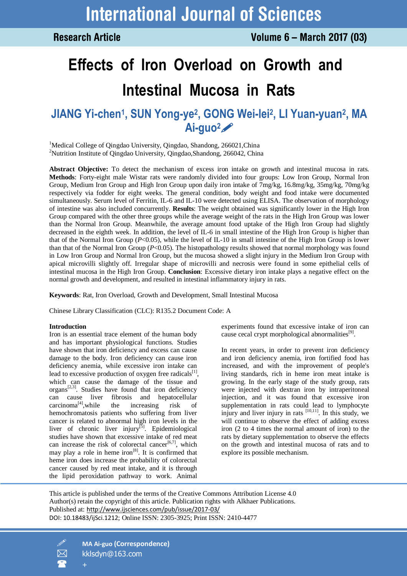**Research Article** 

# **Effects of Iron Overload on Growth and Intestinal Mucosa in Rats**

# **JIANG Yi-chen<sup>1</sup> , SUN Yong-ye<sup>2</sup> , GONG Wei-lei<sup>2</sup> , LI Yuan-yuan<sup>2</sup> , MA Ai-guo2**

<sup>1</sup>Medical College of Qingdao University, Qingdao, Shandong, 266021, China <sup>2</sup>Nutrition Institute of Qingdao University, Qingdao,Shandong, 266042, China

**Abstract Objective:** To detect the mechanism of excess iron intake on growth and intestinal mucosa in rats. **Methods**: Forty-eight male Wistar rats were randomly divided into four groups: Low Iron Group, Normal Iron Group, Medium Iron Group and High Iron Group upon daily iron intake of 7mg/kg, 16.8mg/kg, 35mg/kg, 70mg/kg respectively via fodder for eight weeks. The general condition, body weight and food intake were documented simultaneously. Serum level of Ferritin, IL-6 and IL-10 were detected using ELISA. The observation of morphology of intestine was also included concurrently. **Results**: The weight obtained was significantly lower in the High Iron Group compared with the other three groups while the average weight of the rats in the High Iron Group was lower than the Normal Iron Group. Meanwhile, the average amount food uptake of the High Iron Group had slightly decreased in the eighth week. In addition, the level of IL-6 in small intestine of the High Iron Group is higher than that of the Normal Iron Group (*P*<0.05), while the level of IL-10 in small intestine of the High Iron Group is lower than that of the Normal Iron Group (*P*<0.05). The histopathology results showed that normal morphology was found in Low Iron Group and Normal Iron Group, but the mucosa showed a slight injury in the Medium Iron Group with apical microvilli slightly off. Irregular shape of microvilli and necrosis were found in some epithelial cells of intestinal mucosa in the High Iron Group. **Conclusion**: Excessive dietary iron intake plays a negative effect on the normal growth and development, and resulted in intestinal inflammatory injury in rats.

**Keywords**: Rat, Iron Overload, Growth and Development, Small Intestinal Mucosa

Chinese Library Classification (CLC): R135.2 Document Code: A

#### **Introduction**

Iron is an essential trace element of the human body and has important physiological functions. Studies have shown that iron deficiency and excess can cause damage to the body. Iron deficiency can cause iron deficiency anemia, while excessive iron intake can lead to excessive production of oxygen free radicals $^{[1]}$ , which can cause the damage of the tissue and organs<sup>[2,3]</sup>. Studies have found that iron deficiency can cause liver fibrosis and hepatocellular  $carcinoma^{[4]}$ , while the increasing risk of hemochromatosis patients who suffering from liver cancer is related to abnormal high iron levels in the liver of chronic liver injury<sup>[5]</sup>. Epidemiological studies have shown that excessive intake of red meat can increase the risk of colorectal cancer<sup>[6,7]</sup>, which may play a role in heme iron<sup>[8]</sup>. It is confirmed that heme iron does increase the probability of colorectal cancer caused by red meat intake, and it is through the lipid peroxidation pathway to work. Animal

experiments found that excessive intake of iron can cause cecal crypt morphological abnormalities $[9]$ .

In recent years, in order to prevent iron deficiency and iron deficiency anemia, iron fortified food has increased, and with the improvement of people's living standards, rich in heme iron meat intake is growing. In the early stage of the study group, rats were injected with dextran iron by intraperitoneal injection, and it was found that excessive iron supplementation in rats could lead to lymphocyte injury and liver injury in rats  $[10,11]$ . In this study, we will continue to observe the effect of adding excess iron (2 to 4 times the normal amount of iron) to the rats by dietary supplementation to observe the effects on the growth and intestinal mucosa of rats and to explore its possible mechanism.

This article is published under the terms of the Creative Commons Attribution License 4.0 Author(s) retain the copyright of this article. Publication rights with Alkhaer Publications. Published at: <http://www.ijsciences.com/pub/issue/2017-03/> DOI: 10.18483/ijSci.1212; Online ISSN: 2305-3925; Print ISSN: 2410-4477



 **MA Ai-guo (Correspondence)** kklsdyn@163.com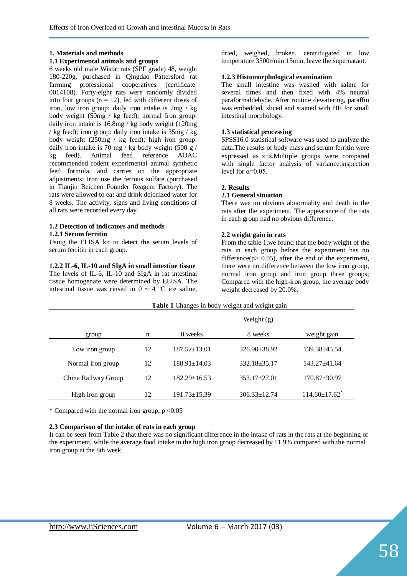## **1. Materials and methods**

#### **1.1 Experimental animals and groups**

6 weeks old male Wistar rats (SPF grade) 48, weight 180-220g, purchased in Qingdao Pattersford rat farming professional cooperatives (certificate: 0014108). Forty-eight rats were randomly divided into four groups  $(n = 12)$ , fed with different doses of iron, low iron group: daily iron intake is 7mg / kg body weight (50mg / kg feed); normal Iron group: daily iron intake is 16.8mg / kg body weight (120mg / kg feed); iron group: daily iron intake is 35mg / kg body weight (250mg / kg feed); high iron group: daily iron intake is 70 mg / kg body weight  $(500 \text{ g})$ kg feed). Animal feed reference AOAC recommended rodent experimental animal synthetic feed formula, and carries on the appropriate adjustments; Iron use the ferrous sulfate (purchased in Tianjin Beichen Founder Reagent Factory). The rats were allowed to eat and drink deionized water for 8 weeks. The activity, signs and living conditions of all rats were recorded every day.

#### **1.2 Detection of indicators and methods 1.2.1 Serum ferritin**

Using the ELISA kit to detect the serum levels of serum ferritin in each group.

**1.2.2 IL-6, IL-10 and SIgA in small intestine tissue**  The levels of IL-6, IL-10 and SIgA in rat intestinal tissue homogenate were determined by ELISA. The intestinal tissue was rinsed in  $0 \sim 4$  °C ice saline,

dried, weighed, broken, centrifugated in low temperature 3500r/min 15min, leave the supernatant.

#### **1.2.3 Histomorphological examination**

The small intestine was washed with saline for several times and then fixed with 4% neutral paraformaldehyde. After routine dewatering, paraffin was embedded, sliced and stained with HE for small intestinal morphology.

### **1.3 statistical processing**

SPSS16.0 statistical software was used to analyze the data.The results of body mass and serum ferritin were expressed as  $\overline{x} \pm s$ . Multiple groups were compared with single factor analysis of variance,inspection level for  $a=0.05$ .

#### **2. Results**

#### **2.1 General situation**

There was no obvious abnormality and death in the rats after the experiment. The appearance of the rats in each group had no obvious difference.

#### **2.2 weight gain in rats**

From the table 1,we found that the body weight of the rats in each group before the experiment has no difference( $p$  > 0.05), after the end of the experiment, there were no difference between the low iron group, normal iron group and iron group three groups; Compared with the high-iron group, the average body weight decreased by 20.0%.

| Table 1 Changes in body weight and weight gain |              |                    |                    |                                 |  |  |
|------------------------------------------------|--------------|--------------------|--------------------|---------------------------------|--|--|
|                                                | Weight $(g)$ |                    |                    |                                 |  |  |
| group                                          | n            | 0 weeks            | 8 weeks            | weight gain                     |  |  |
| Low iron group                                 | 12           | $187.52 \pm 13.01$ | $326.90 \pm 38.92$ | $139.38 + 45.54$                |  |  |
| Normal iron group                              | 12           | $188.91 \pm 14.03$ | $332.18 \pm 35.17$ | $143.27 + 41.64$                |  |  |
| China Railway Group                            | 12           | $182.29 \pm 16.53$ | $353.17 \pm 27.01$ | $170.87 \pm 30.97$              |  |  |
| High iron group                                | 12           | $191.73 \pm 15.39$ | $306.33 \pm 12.74$ | $114.60 \pm 17.62$ <sup>*</sup> |  |  |

\* Compared with the normal iron group,  $p < 0.05$ 

## **2.3 Comparison of the intake of rats in each group**

It can be seen from Table 2 that there was no significant difference in the intake of rats in the rats at the beginning of the experiment, while the average food intake in the high iron group decreased by 11.9% compared with the normal iron group at the 8th week.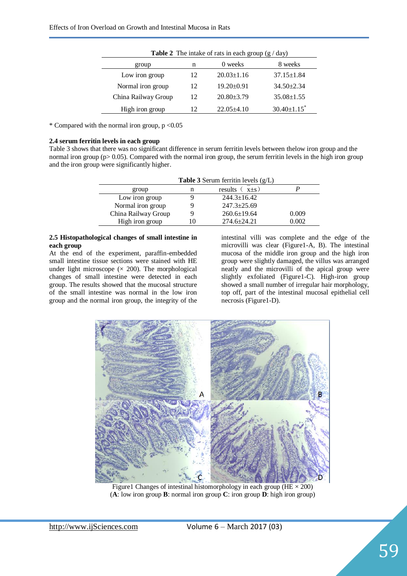| <b>Table 2</b> The intake of rats in each group $(g / day)$ |    |                  |                               |  |  |
|-------------------------------------------------------------|----|------------------|-------------------------------|--|--|
| group                                                       | n  | 0 weeks          | 8 weeks                       |  |  |
| Low iron group                                              | 12 | $20.03 \pm 1.16$ | $37.15 \pm 1.84$              |  |  |
| Normal iron group                                           | 12 | $19.20 \pm 0.91$ | $34.50 \pm 2.34$              |  |  |
| China Railway Group                                         | 12 | $20.80 \pm 3.79$ | $35.08 \pm 1.55$              |  |  |
| High iron group                                             | 12 | $22.05+4.10$     | $30.40 \pm 1.15$ <sup>*</sup> |  |  |

\* Compared with the normal iron group,  $p < 0.05$ 

#### **2.4 serum ferritin levels in each group**

Table 3 shows that there was no significant difference in serum ferritin levels between thelow iron group and the normal iron group (p> 0.05). Compared with the normal iron group, the serum ferritin levels in the high iron group and the iron group were significantly higher.

| <b>Table 3</b> Serum ferritin levels $(g/L)$ |    |                    |       |  |  |
|----------------------------------------------|----|--------------------|-------|--|--|
| group                                        | n  | results<br>$x+s$ ) |       |  |  |
| Low iron group                               |    | $244.3 \pm 16.42$  |       |  |  |
| Normal iron group                            |    | $247.3 \pm 25.69$  |       |  |  |
| China Railway Group                          | 9  | $260.6 \pm 19.64$  | 0.009 |  |  |
| High iron group                              | 10 | 274.6±24.21        | 0.002 |  |  |

#### **2.5 Histopathological changes of small intestine in each group**

At the end of the experiment, paraffin-embedded small intestine tissue sections were stained with HE under light microscope  $(\times 200)$ . The morphological changes of small intestine were detected in each group. The results showed that the mucosal structure of the small intestine was normal in the low iron group and the normal iron group, the integrity of the intestinal villi was complete and the edge of the microvilli was clear (Figure1-A, B). The intestinal mucosa of the middle iron group and the high iron group were slightly damaged, the villus was arranged neatly and the microvilli of the apical group were slightly exfoliated (Figure1-C). High-iron group showed a small number of irregular hair morphology, top off, part of the intestinal mucosal epithelial cell necrosis (Figure1-D).



Figure1 Changes of intestinal histomorphology in each group ( $HE \times 200$ ) (**A**: low iron group **B**: normal iron group **C**: iron group **D**: high iron group)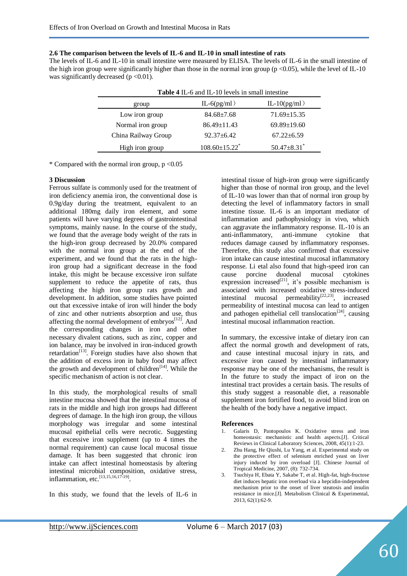**2.6 The comparison between the levels of IL-6 and IL-10 in small intestine of rats**

The levels of IL-6 and IL-10 in small intestine were measured by ELISA. The levels of IL-6 in the small intestine of the high iron group were significantly higher than those in the normal iron group ( $p < 0.05$ ), while the level of IL-10 was significantly decreased ( $p < 0.01$ ).

| <b>Table 4 IL-6 and IL-10 levels in small intestine</b> |                                 |                               |  |  |  |
|---------------------------------------------------------|---------------------------------|-------------------------------|--|--|--|
| group                                                   | $IL-6(pg/ml)$                   | IL-10 $(pg/ml)$               |  |  |  |
| Low iron group                                          | $84.68 \pm 7.68$                | $71.69 \pm 15.35$             |  |  |  |
| Normal iron group                                       | $86.49 \pm 11.43$               | $69.89 \pm 19.60$             |  |  |  |
| China Railway Group                                     | $92.37 + 6.42$                  | $67.22 \pm 6.59$              |  |  |  |
| High iron group                                         | $108.60 \pm 15.22$ <sup>*</sup> | $50.47 \pm 8.31$ <sup>*</sup> |  |  |  |

**Table 4** IL-6 and IL-10 levels in small intestine

\* Compared with the normal iron group,  $p < 0.05$ 

#### **3 Discussion**

Ferrous sulfate is commonly used for the treatment of iron deficiency anemia iron, the conventional dose is 0.9g/day during the treatment, equivalent to an additional 180mg daily iron element, and some patients will have varying degrees of gastrointestinal symptoms, mainly nause. In the course of the study, we found that the average body weight of the rats in the high-iron group decreased by 20.0% compared with the normal iron group at the end of the experiment, and we found that the rats in the highiron group had a significant decrease in the food intake, this might be because excessive iron sulfate supplement to reduce the appetite of rats, thus affecting the high iron group rats growth and development. In addition, some studies have pointed out that excessive intake of iron will hinder the body of zinc and other nutrients absorption and use, thus affecting the normal development of embryos $^{[12]}$ . And the corresponding changes in iron and other necessary divalent cations, such as zinc, copper and ion balance, may be involved in iron-induced growth retardation<sup>[13]</sup>. Foreign studies have also shown that the addition of excess iron in baby food may affect the growth and development of children<sup>[14]</sup>. While the specific mechanism of action is not clear.

In this study, the morphological results of small intestine mucosa showed that the intestinal mucosa of rats in the middle and high iron groups had different degrees of damage. In the high iron group, the villous morphology was irregular and some intestinal mucosal epithelial cells were necrotic. Suggesting that excessive iron supplement (up to 4 times the normal requirement) can cause local mucosal tissue damage. It has been suggested that chronic iron intake can affect intestinal homeostasis by altering intestinal microbial composition, oxidative stress, inflammation, etc.<sup>[13,15,16,17-19]</sup>.

In this study, we found that the levels of IL-6 in

intestinal tissue of high-iron group were significantly higher than those of normal iron group, and the level of IL-10 was lower than that of normal iron group by detecting the level of inflammatory factors in small intestine tissue. IL-6 is an important mediator of inflammation and pathophysiology in vivo, which can aggravate the inflammatory response. IL-10 is an anti-inflammatory, anti-immune cytokine that reduces damage caused by inflammatory responses. Therefore, this study also confirmed that excessive iron intake can cause intestinal mucosal inflammatory response. Li etal also found that high-speed iron can cause porcine duodenal mucosal cytokines expression increased<sup>[21]</sup>, it's possible mechanism is associated with increased oxidative stress-induced intestinal mucosal permeability $[22,23]$ , increased permeability of intestinal mucosa can lead to antigen and pathogen epithelial cell translocation<sup>[24]</sup>, causing intestinal mucosal inflammation reaction.

In summary, the excessive intake of dietary iron can affect the normal growth and development of rats, and cause intestinal mucosal injury in rats, and excessive iron caused by intestinal inflammatory response may be one of the mechanisms, the result is In the future to study the impact of iron on the intestinal tract provides a certain basis. The results of this study suggest a reasonable diet, a reasonable supplement iron fortified food, to avoid blind iron on the health of the body have a negative impact.

#### **References**

- 1. Galaris D, Pantopoulos K. Oxidative stress and iron homeostasis: mechanistic and health aspects.[J]. Critical Reviews in Clinical Laboratory Sciences, 2008, 45(1):1-23.
- 2. Zhu Hang, He Qiushi, Lu Yang, et al. Experimental study on the protective effect of selenium enriched yeast on liver injury induced by iron overload [J]. Chinese Journal of Tropical Medicine, 2007, (8): 732-734.
- 3. Tsuchiya H, Ebata Y, Sakabe T, et al. High-fat, high-fructose diet induces hepatic iron overload via a hepcidin-independent mechanism prior to the onset of liver steatosis and insulin resistance in mice.[J]. Metabolism Clinical & Experimental, 2013, 62(1):62-9.